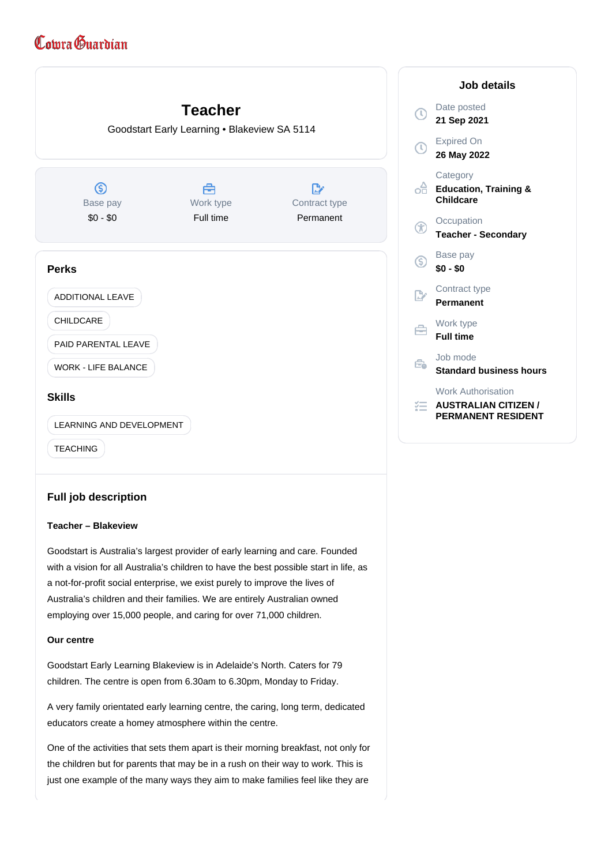# Comra Guardian



## **Full job description**

## **Teacher – Blakeview**

Goodstart is Australia's largest provider of early learning and care. Founded with a vision for all Australia's children to have the best possible start in life, as a not-for-profit social enterprise, we exist purely to improve the lives of Australia's children and their families. We are entirely Australian owned employing over 15,000 people, and caring for over 71,000 children.

## **Our centre**

Goodstart Early Learning Blakeview is in Adelaide's North. Caters for 79 children. The centre is open from 6.30am to 6.30pm, Monday to Friday.

A very family orientated early learning centre, the caring, long term, dedicated educators create a homey atmosphere within the centre.

One of the activities that sets them apart is their morning breakfast, not only for the children but for parents that may be in a rush on their way to work. This is just one example of the many ways they aim to make families feel like they are

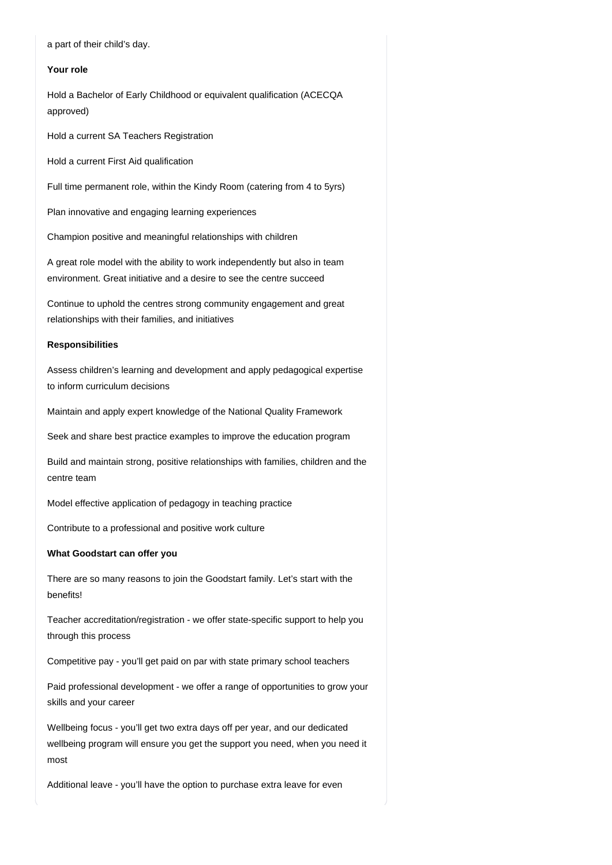a part of their child's day.

#### **Your role**

Hold a Bachelor of Early Childhood or equivalent qualification (ACECQA approved)

Hold a current SA Teachers Registration

Hold a current First Aid qualification

Full time permanent role, within the Kindy Room (catering from 4 to 5yrs)

Plan innovative and engaging learning experiences

Champion positive and meaningful relationships with children

A great role model with the ability to work independently but also in team environment. Great initiative and a desire to see the centre succeed

Continue to uphold the centres strong community engagement and great relationships with their families, and initiatives

#### **Responsibilities**

Assess children's learning and development and apply pedagogical expertise to inform curriculum decisions

Maintain and apply expert knowledge of the National Quality Framework

Seek and share best practice examples to improve the education program

Build and maintain strong, positive relationships with families, children and the centre team

Model effective application of pedagogy in teaching practice

Contribute to a professional and positive work culture

### **What Goodstart can offer you**

There are so many reasons to join the Goodstart family. Let's start with the benefits!

Teacher accreditation/registration - we offer state-specific support to help you through this process

Competitive pay - you'll get paid on par with state primary school teachers

Paid professional development - we offer a range of opportunities to grow your skills and your career

Wellbeing focus - you'll get two extra days off per year, and our dedicated wellbeing program will ensure you get the support you need, when you need it most

Additional leave - you'll have the option to purchase extra leave for even